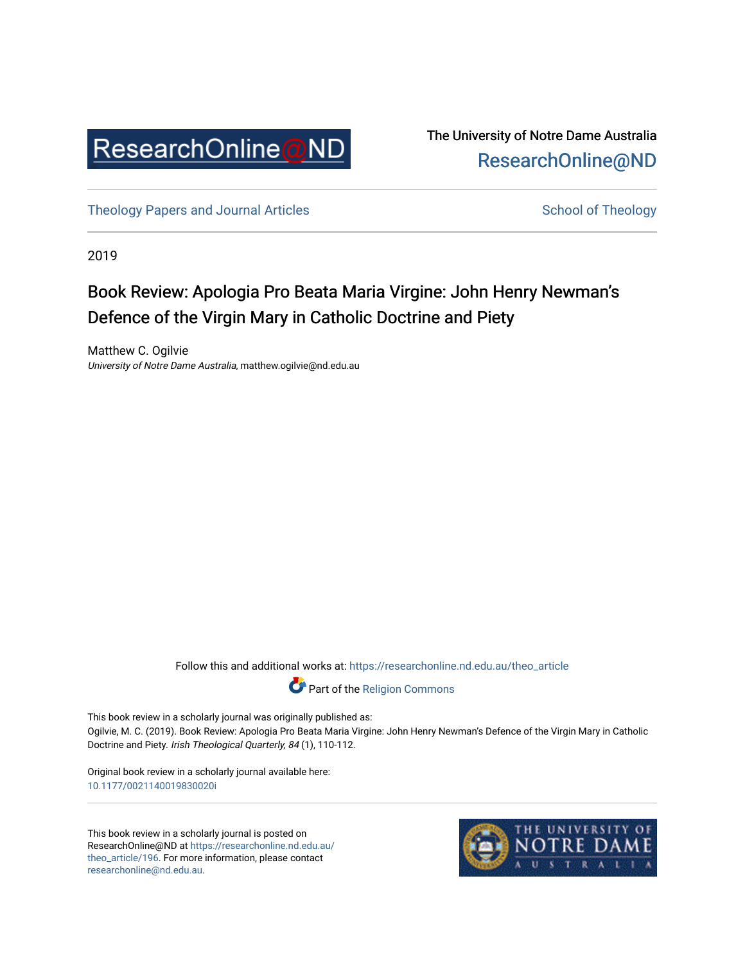

The University of Notre Dame Australia [ResearchOnline@ND](https://researchonline.nd.edu.au/) 

[Theology Papers and Journal Articles](https://researchonline.nd.edu.au/theo_article) and [School of Theology](https://researchonline.nd.edu.au/theo) School of Theology

2019

## Book Review: Apologia Pro Beata Maria Virgine: John Henry Newman's Defence of the Virgin Mary in Catholic Doctrine and Piety

Matthew C. Ogilvie University of Notre Dame Australia, matthew.ogilvie@nd.edu.au

Follow this and additional works at: [https://researchonline.nd.edu.au/theo\\_article](https://researchonline.nd.edu.au/theo_article?utm_source=researchonline.nd.edu.au%2Ftheo_article%2F196&utm_medium=PDF&utm_campaign=PDFCoverPages) 



This book review in a scholarly journal was originally published as: Ogilvie, M. C. (2019). Book Review: Apologia Pro Beata Maria Virgine: John Henry Newman's Defence of the Virgin Mary in Catholic Doctrine and Piety. Irish Theological Quarterly, 84 (1), 110-112.

Original book review in a scholarly journal available here: [10.1177/0021140019830020i](https://doi.org/10.1177/0021140019830020i)

This book review in a scholarly journal is posted on ResearchOnline@ND at [https://researchonline.nd.edu.au/](https://researchonline.nd.edu.au/theo_article/196) [theo\\_article/196](https://researchonline.nd.edu.au/theo_article/196). For more information, please contact [researchonline@nd.edu.au.](mailto:researchonline@nd.edu.au)

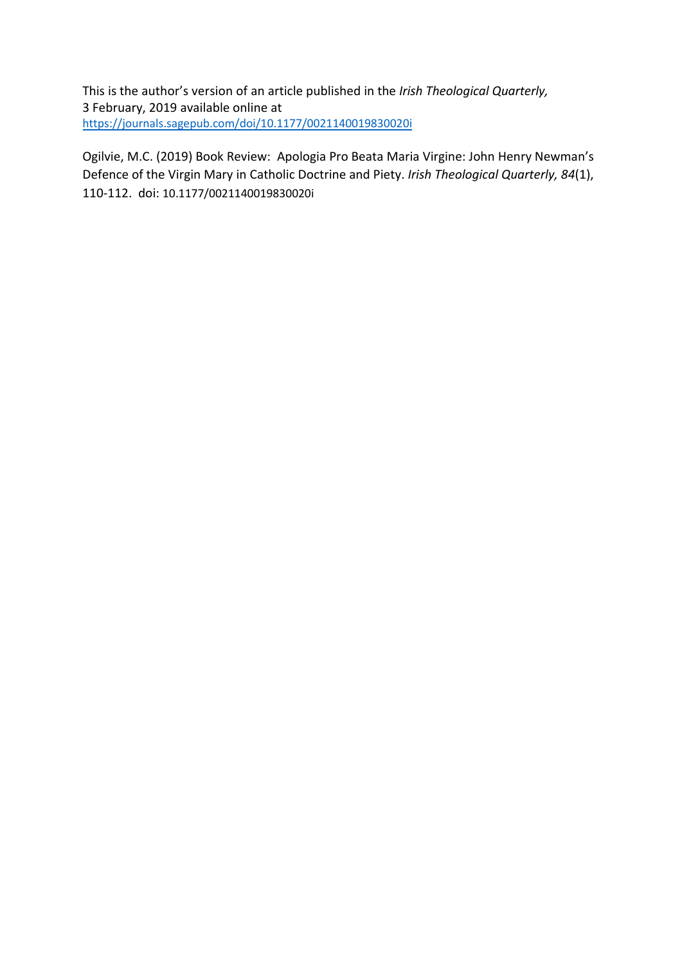This is the author's version of an article published in the *Irish Theological Quarterly,* 3 February, 2019 available online at <https://journals.sagepub.com/doi/10.1177/0021140019830020i>

Ogilvie, M.C. (2019) Book Review: Apologia Pro Beata Maria Virgine: John Henry Newman's Defence of the Virgin Mary in Catholic Doctrine and Piety. *Irish Theological Quarterly, 84*(1), 110-112. doi: 10.1177/0021140019830020i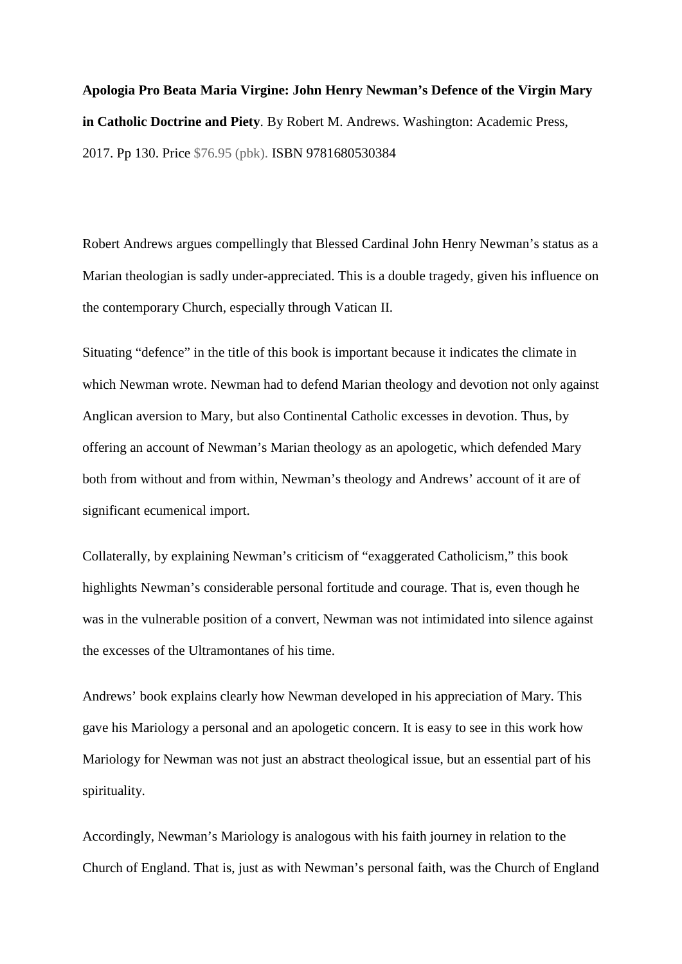**Apologia Pro Beata Maria Virgine: John Henry Newman's Defence of the Virgin Mary in Catholic Doctrine and Piety**. By Robert M. Andrews. Washington: Academic Press, 2017. Pp 130. Price \$76.95 (pbk). ISBN 9781680530384

Robert Andrews argues compellingly that Blessed Cardinal John Henry Newman's status as a Marian theologian is sadly under-appreciated. This is a double tragedy, given his influence on the contemporary Church, especially through Vatican II.

Situating "defence" in the title of this book is important because it indicates the climate in which Newman wrote. Newman had to defend Marian theology and devotion not only against Anglican aversion to Mary, but also Continental Catholic excesses in devotion. Thus, by offering an account of Newman's Marian theology as an apologetic, which defended Mary both from without and from within, Newman's theology and Andrews' account of it are of significant ecumenical import.

Collaterally, by explaining Newman's criticism of "exaggerated Catholicism," this book highlights Newman's considerable personal fortitude and courage. That is, even though he was in the vulnerable position of a convert, Newman was not intimidated into silence against the excesses of the Ultramontanes of his time.

Andrews' book explains clearly how Newman developed in his appreciation of Mary. This gave his Mariology a personal and an apologetic concern. It is easy to see in this work how Mariology for Newman was not just an abstract theological issue, but an essential part of his spirituality.

Accordingly, Newman's Mariology is analogous with his faith journey in relation to the Church of England. That is, just as with Newman's personal faith, was the Church of England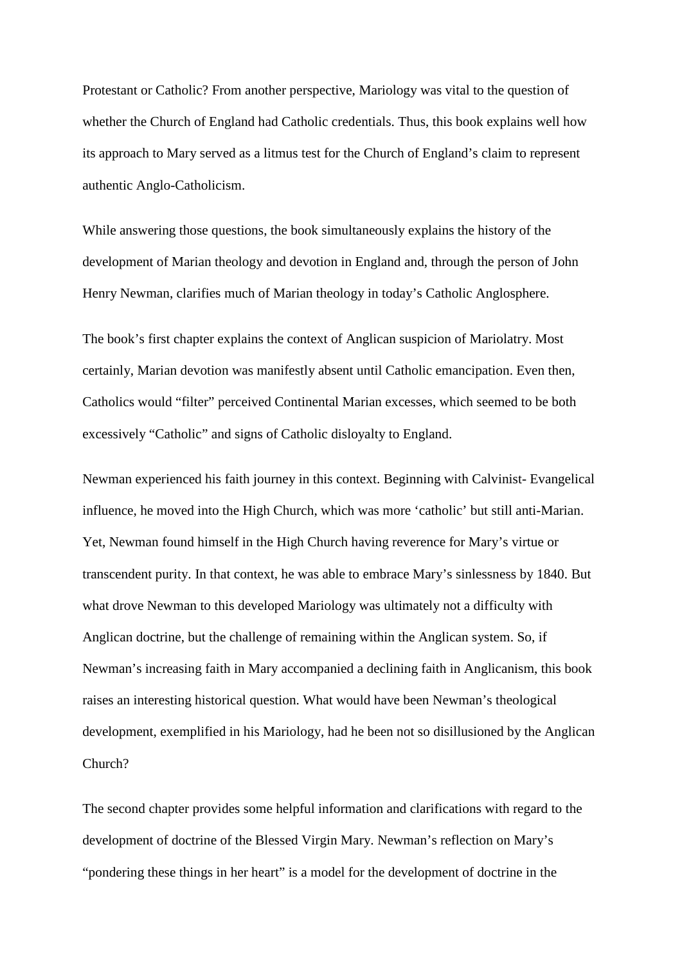Protestant or Catholic? From another perspective, Mariology was vital to the question of whether the Church of England had Catholic credentials. Thus, this book explains well how its approach to Mary served as a litmus test for the Church of England's claim to represent authentic Anglo-Catholicism.

While answering those questions, the book simultaneously explains the history of the development of Marian theology and devotion in England and, through the person of John Henry Newman, clarifies much of Marian theology in today's Catholic Anglosphere.

The book's first chapter explains the context of Anglican suspicion of Mariolatry. Most certainly, Marian devotion was manifestly absent until Catholic emancipation. Even then, Catholics would "filter" perceived Continental Marian excesses, which seemed to be both excessively "Catholic" and signs of Catholic disloyalty to England.

Newman experienced his faith journey in this context. Beginning with Calvinist- Evangelical influence, he moved into the High Church, which was more 'catholic' but still anti-Marian. Yet, Newman found himself in the High Church having reverence for Mary's virtue or transcendent purity. In that context, he was able to embrace Mary's sinlessness by 1840. But what drove Newman to this developed Mariology was ultimately not a difficulty with Anglican doctrine, but the challenge of remaining within the Anglican system. So, if Newman's increasing faith in Mary accompanied a declining faith in Anglicanism, this book raises an interesting historical question. What would have been Newman's theological development, exemplified in his Mariology, had he been not so disillusioned by the Anglican Church?

The second chapter provides some helpful information and clarifications with regard to the development of doctrine of the Blessed Virgin Mary. Newman's reflection on Mary's "pondering these things in her heart" is a model for the development of doctrine in the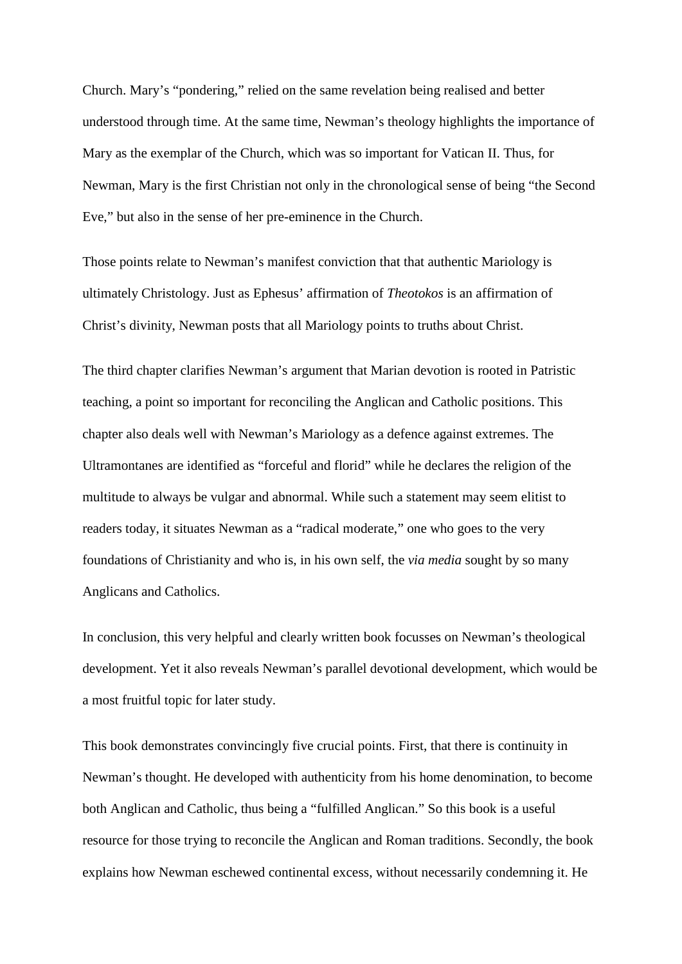Church. Mary's "pondering," relied on the same revelation being realised and better understood through time. At the same time, Newman's theology highlights the importance of Mary as the exemplar of the Church, which was so important for Vatican II. Thus, for Newman, Mary is the first Christian not only in the chronological sense of being "the Second Eve," but also in the sense of her pre-eminence in the Church.

Those points relate to Newman's manifest conviction that that authentic Mariology is ultimately Christology. Just as Ephesus' affirmation of *Theotokos* is an affirmation of Christ's divinity, Newman posts that all Mariology points to truths about Christ.

The third chapter clarifies Newman's argument that Marian devotion is rooted in Patristic teaching, a point so important for reconciling the Anglican and Catholic positions. This chapter also deals well with Newman's Mariology as a defence against extremes. The Ultramontanes are identified as "forceful and florid" while he declares the religion of the multitude to always be vulgar and abnormal. While such a statement may seem elitist to readers today, it situates Newman as a "radical moderate," one who goes to the very foundations of Christianity and who is, in his own self, the *via media* sought by so many Anglicans and Catholics.

In conclusion, this very helpful and clearly written book focusses on Newman's theological development. Yet it also reveals Newman's parallel devotional development, which would be a most fruitful topic for later study.

This book demonstrates convincingly five crucial points. First, that there is continuity in Newman's thought. He developed with authenticity from his home denomination, to become both Anglican and Catholic, thus being a "fulfilled Anglican." So this book is a useful resource for those trying to reconcile the Anglican and Roman traditions. Secondly, the book explains how Newman eschewed continental excess, without necessarily condemning it. He